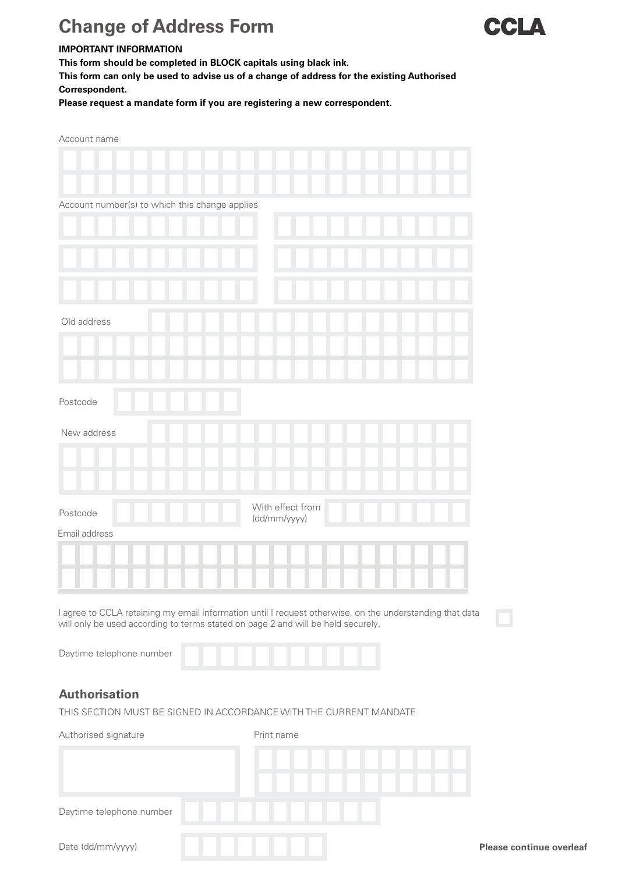## **Change of Address Form**



## **IMPORTANT INFORMATION**

**This form should be completed in BLOCK capitals using black ink.**

**This form can only be used to advise us of a change of address for the existing Authorised Correspondent.** 

**Please request a mandate form if you are registering a new correspondent.**

| Account name                                                                                                                                                                                 |
|----------------------------------------------------------------------------------------------------------------------------------------------------------------------------------------------|
|                                                                                                                                                                                              |
|                                                                                                                                                                                              |
| Account number(s) to which this change applies                                                                                                                                               |
|                                                                                                                                                                                              |
|                                                                                                                                                                                              |
|                                                                                                                                                                                              |
| Old address                                                                                                                                                                                  |
|                                                                                                                                                                                              |
|                                                                                                                                                                                              |
| Postcode                                                                                                                                                                                     |
|                                                                                                                                                                                              |
| New address                                                                                                                                                                                  |
|                                                                                                                                                                                              |
|                                                                                                                                                                                              |
| With effect from<br>Postcode<br>(dd/mm/yyyy)                                                                                                                                                 |
| Email address                                                                                                                                                                                |
|                                                                                                                                                                                              |
|                                                                                                                                                                                              |
| I agree to CCLA retaining my email information until I request otherwise, on the understanding that data<br>will only be used according to terms stated on page 2 and will be held securely. |
| Daytime telephone number                                                                                                                                                                     |

## **Authorisation**

THIS SECTION MUST BE SIGNED IN ACCORDANCE WITH THE CURRENT MANDATE

| Authorised signature     | Print name |                        |                                 |
|--------------------------|------------|------------------------|---------------------------------|
|                          | H.<br>٠    | H.<br>ı<br>ı<br>ı<br>٠ |                                 |
| Daytime telephone number |            |                        |                                 |
| Date (dd/mm/yyyy)        |            |                        | <b>Please continue overleaf</b> |